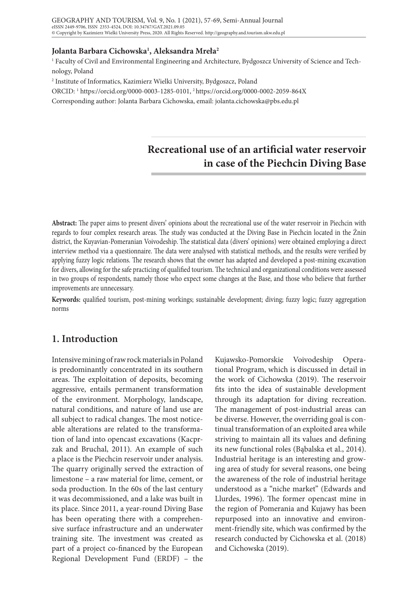### **Jolanta Barbara Cichowska1 , Aleksandra Mreła2**

1 Faculty of Civil and Environmental Engineering and Architecture, Bydgoszcz University of Science and Technology, Poland

2 Institute of Informatics, Kazimierz Wielki University, Bydgoszcz, Poland

ORCID: 1 https://orcid.org/0000-0003-1285-0101, 2 https://orcid.org/0000-0002-2059-864X

Corresponding author: Jolanta Barbara Cichowska, email: jolanta.cichowska@pbs.edu.pl

# **Recreational use of an artificial water reservoir in case of the Piechcin Diving Base**

**Abstract:** The paper aims to present divers' opinions about the recreational use of the water reservoir in Piechcin with regards to four complex research areas. The study was conducted at the Diving Base in Piechcin located in the Żnin district, the Kuyavian-Pomeranian Voivodeship. The statistical data (divers' opinions) were obtained employing a direct interview method via a questionnaire. The data were analysed with statistical methods, and the results were verified by applying fuzzy logic relations. The research shows that the owner has adapted and developed a post-mining excavation for divers, allowing for the safe practicing of qualified tourism. The technical and organizational conditions were assessed in two groups of respondents, namely those who expect some changes at the Base, and those who believe that further improvements are unnecessary.

**Keywords:** qualified tourism, post-mining workings; sustainable development; diving; fuzzy logic; fuzzy aggregation norms

# **1. Introduction**

Intensive mining of raw rock materials in Poland is predominantly concentrated in its southern areas. The exploitation of deposits, becoming aggressive, entails permanent transformation of the environment. Morphology, landscape, natural conditions, and nature of land use are all subject to radical changes. The most noticeable alterations are related to the transformation of land into opencast excavations (Kacprzak and Bruchal, 2011). An example of such a place is the Piechcin reservoir under analysis. The quarry originally served the extraction of limestone – a raw material for lime, cement, or soda production. In the 60s of the last century it was decommissioned, and a lake was built in its place. Since 2011, a year-round Diving Base has been operating there with a comprehensive surface infrastructure and an underwater training site. The investment was created as part of a project co-financed by the European Regional Development Fund (ERDF) – the

Kujawsko-Pomorskie Voivodeship Operational Program, which is discussed in detail in the work of Cichowska (2019). The reservoir fits into the idea of sustainable development through its adaptation for diving recreation. The management of post-industrial areas can be diverse. However, the overriding goal is continual transformation of an exploited area while striving to maintain all its values and defining its new functional roles (Bąbalska et al., 2014). Industrial heritage is an interesting and growing area of study for several reasons, one being the awareness of the role of industrial heritage understood as a "niche market" (Edwards and Llurdes, 1996). The former opencast mine in the region of Pomerania and Kujawy has been repurposed into an innovative and environment-friendly site, which was confirmed by the research conducted by Cichowska et al. (2018) and Cichowska (2019).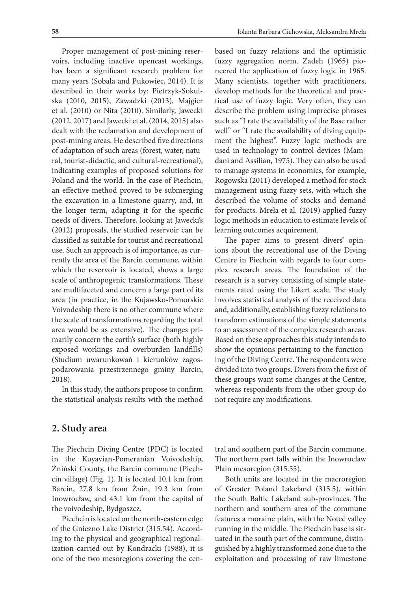Proper management of post-mining reservoirs, including inactive opencast workings, has been a significant research problem for many years (Sobala and Pukowiec, 2014). It is described in their works by: Pietrzyk-Sokulska (2010, 2015), Zawadzki (2013), Majgier et al. (2010) or Nita (2010). Similarly, Jawecki (2012, 2017) and Jawecki et al. (2014, 2015) also dealt with the reclamation and development of post-mining areas. He described five directions of adaptation of such areas (forest, water, natural, tourist-didactic, and cultural-recreational), indicating examples of proposed solutions for Poland and the world. In the case of Piechcin, an effective method proved to be submerging the excavation in a limestone quarry, and, in the longer term, adapting it for the specific needs of divers. Therefore, looking at Jawecki's (2012) proposals, the studied reservoir can be classified as suitable for tourist and recreational use. Such an approach is of importance, as currently the area of the Barcin commune, within which the reservoir is located, shows a large scale of anthropogenic transformations. These are multifaceted and concern a large part of its area (in practice, in the Kujawsko-Pomorskie Voivodeship there is no other commune where the scale of transformations regarding the total area would be as extensive). The changes primarily concern the earth's surface (both highly exposed workings and overburden landfills) (Studium uwarunkowań i kierunków zagospodarowania przestrzennego gminy Barcin, 2018).

In this study, the authors propose to confirm the statistical analysis results with the method

based on fuzzy relations and the optimistic fuzzy aggregation norm. Zadeh (1965) pioneered the application of fuzzy logic in 1965. Many scientists, together with practitioners, develop methods for the theoretical and practical use of fuzzy logic. Very often, they can describe the problem using imprecise phrases such as "I rate the availability of the Base rather well" or "I rate the availability of diving equipment the highest". Fuzzy logic methods are used in technology to control devices (Mamdani and Assilian, 1975). They can also be used to manage systems in economics, for example, Rogowska (2011) developed a method for stock management using fuzzy sets, with which she described the volume of stocks and demand for products. Mreła et al. (2019) applied fuzzy logic methods in education to estimate levels of learning outcomes acquirement.

The paper aims to present divers' opinions about the recreational use of the Diving Centre in Piechcin with regards to four complex research areas. The foundation of the research is a survey consisting of simple statements rated using the Likert scale. The study involves statistical analysis of the received data and, additionally, establishing fuzzy relations to transform estimations of the simple statements to an assessment of the complex research areas. Based on these approaches this study intends to show the opinions pertaining to the functioning of the Diving Centre. The respondents were divided into two groups. Divers from the first of these groups want some changes at the Centre, whereas respondents from the other group do not require any modifications.

### **2. Study area**

The Piechcin Diving Centre (PDC) is located in the Kuyavian-Pomeranian Voivodeship, Żniński County, the Barcin commune (Piechcin village) (Fig. 1). It is located 10.1 km from Barcin, 27.8 km from Żnin, 19.3 km from Inowrocław, and 43.1 km from the capital of the voivodeship, Bydgoszcz.

Piechcin is located on the north-eastern edge of the Gniezno Lake District (315.54). According to the physical and geographical regionalization carried out by Kondracki (1988), it is one of the two mesoregions covering the central and southern part of the Barcin commune. The northern part falls within the Inowrocław Plain mesoregion (315.55).

Both units are located in the macroregion of Greater Poland Lakeland (315.5), within the South Baltic Lakeland sub-provinces. The northern and southern area of the commune features a moraine plain, with the Noteć valley running in the middle. The Piechcin base is situated in the south part of the commune, distinguished by a highly transformed zone due to the exploitation and processing of raw limestone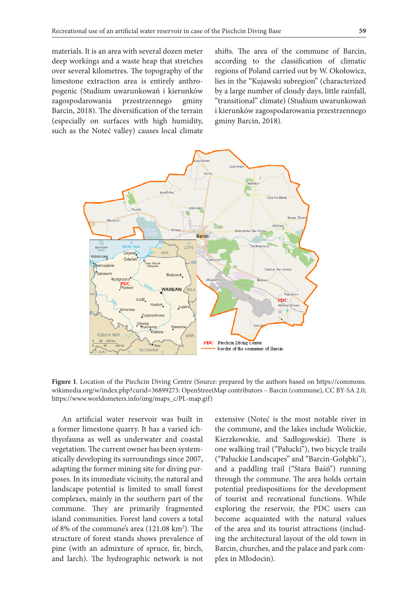materials. It is an area with several dozen meter deep workings and a waste heap that stretches over several kilometres. The topography of the limestone extraction area is entirely anthropogenic (Studium uwarunkowań i kierunków zagospodarowania przestrzennego gminy Barcin, 2018). The diversification of the terrain (especially on surfaces with high humidity, such as the Noteć valley) causes local climate

shifts. The area of the commune of Barcin, according to the classification of climatic regions of Poland carried out by W. Okołowicz, lies in the "Kujawski subregion" (characterized by a large number of cloudy days, little rainfall, "transitional" climate) (Studium uwarunkowań i kierunków zagospodarowania przestrzennego gminy Barcin, 2018).



**Figure 1**. Location of the Piechcin Diving Centre (Source: prepared by the authors based on https://commons. wikimedia.org/w/index.php?curid=36899273: OpenStreetMap contributors – Barcin (commune), CC BY-SA 2.0; https://www.worldometers.info/img/maps\_c/PL-map.gif)

An artificial water reservoir was built in a former limestone quarry. It has a varied ichthyofauna as well as underwater and coastal vegetation. The current owner has been systematically developing its surroundings since 2007, adapting the former mining site for diving purposes. In its immediate vicinity, the natural and landscape potential is limited to small forest complexes, mainly in the southern part of the commune. They are primarily fragmented island communities. Forest land covers a total of 8% of the commune's area (121.08 km<sup>2</sup>). The structure of forest stands shows prevalence of pine (with an admixture of spruce, fir, birch, and larch). The hydrographic network is not

extensive (Noteć is the most notable river in the commune, and the lakes include Wolickie, Kierzkowskie, and Sadłogowskie). There is one walking trail ("Pałucki"), two bicycle trails ("Pałuckie Landscapes" and "Barcin-Gołąbki"), and a paddling trail ("Stara Baśń") running through the commune. The area holds certain potential predispositions for the development of tourist and recreational functions. While exploring the reservoir, the PDC users can become acquainted with the natural values of the area and its tourist attractions (including the architectural layout of the old town in Barcin, churches, and the palace and park complex in Młodocin).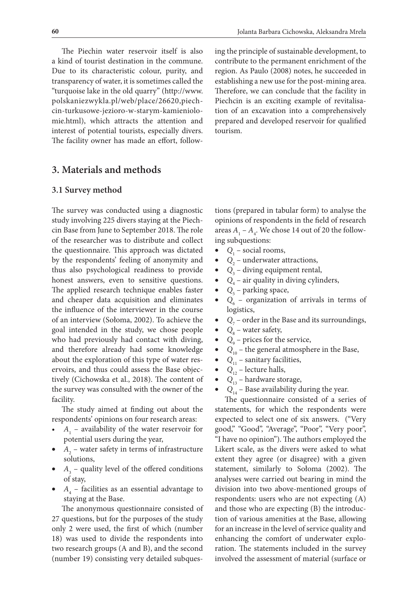The Piechin water reservoir itself is also a kind of tourist destination in the commune. Due to its characteristic colour, purity, and transparency of water, it is sometimes called the "turquoise lake in the old quarry" (http://www. polskaniezwykla.pl/web/place/26620,piechcin-turkusowe-jezioro-w-starym-kamieniolomie.html), which attracts the attention and interest of potential tourists, especially divers. The facility owner has made an effort, following the principle of sustainable development, to contribute to the permanent enrichment of the region. As Paulo (2008) notes, he succeeded in establishing a new use for the post-mining area. Therefore, we can conclude that the facility in Piechcin is an exciting example of revitalisation of an excavation into a comprehensively prepared and developed reservoir for qualified tourism.

### **3. Materials and methods**

#### **3.1 Survey method**

The survey was conducted using a diagnostic study involving 225 divers staying at the Piechcin Base from June to September 2018. The role of the researcher was to distribute and collect the questionnaire. This approach was dictated by the respondents' feeling of anonymity and thus also psychological readiness to provide honest answers, even to sensitive questions. The applied research technique enables faster and cheaper data acquisition and eliminates the influence of the interviewer in the course of an interview (Sołoma, 2002). To achieve the goal intended in the study, we chose people who had previously had contact with diving, and therefore already had some knowledge about the exploration of this type of water reservoirs, and thus could assess the Base objectively (Cichowska et al., 2018). The content of the survey was consulted with the owner of the facility.

The study aimed at finding out about the respondents' opinions on four research areas:

- $A_1$  availability of the water reservoir for potential users during the year,
- $A_2$  water safety in terms of infrastructure solutions,
- $A_3$  quality level of the offered conditions of stay,
- $A_4$  facilities as an essential advantage to staying at the Base.

The anonymous questionnaire consisted of 27 questions, but for the purposes of the study only 2 were used, the first of which (number 18) was used to divide the respondents into two research groups (A and B), and the second (number 19) consisting very detailed subques-

tions (prepared in tabular form) to analyse the opinions of respondents in the field of research areas  $A_1 - A_4$ . We chose 14 out of 20 the following subquestions:

- $Q_1$  social rooms,
- $Q_2$  underwater attractions,
- $Q_3$  diving equipment rental,
- $Q_4$  air quality in diving cylinders,
- $Q_5$  parking space,
- $Q_6$  organization of arrivals in terms of logistics,
- $Q_7$  order in the Base and its surroundings,
- $Q_8$  water safety,
- $Q_9$  prices for the service,
- $Q_{10}$  the general atmosphere in the Base,
- $Q_{11}$  sanitary facilities,
- $Q_{12}$  lecture halls,
- $Q_{13}$  hardware storage,
- $Q_{14}$  Base availability during the year.

The questionnaire consisted of a series of statements, for which the respondents were expected to select one of six answers. ("Very good," "Good", "Average", "Poor", "Very poor", "I have no opinion"). The authors employed the Likert scale, as the divers were asked to what extent they agree (or disagree) with a given statement, similarly to Sołoma (2002). The analyses were carried out bearing in mind the division into two above-mentioned groups of respondents: users who are not expecting (A) and those who are expecting (B) the introduction of various amenities at the Base, allowing for an increase in the level of service quality and enhancing the comfort of underwater exploration. The statements included in the survey involved the assessment of material (surface or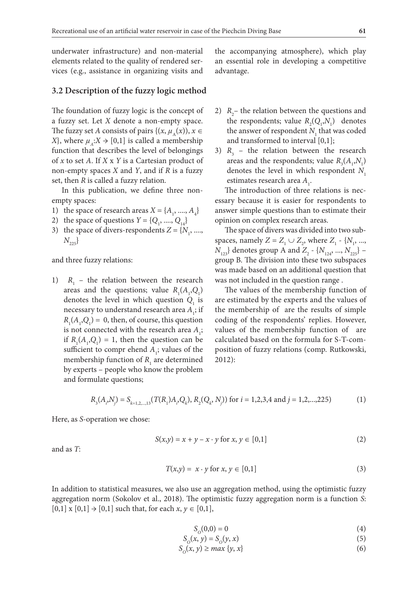underwater infrastructure) and non-material elements related to the quality of rendered services (e.g., assistance in organizing visits and

#### **3.2 Description of the fuzzy logic method**

The foundation of fuzzy logic is the concept of a fuzzy set. Let *X* denote a non-empty space. The fuzzy set *A* consists of pairs { $(x, \mu_{\lambda}(x)), x \in$ *X*}, where  $\mu_A: X \to [0,1]$  is called a membership function that describes the level of belongings of *x* to set *A*. If *X* x *Y* is a Cartesian product of non-empty spaces *X* and *Y*, and if *R* is a fuzzy set, then *R* is called a fuzzy relation.

In this publication, we define three nonempty spaces:

- 1) the space of research areas  $X = \{A_1, \dots, A_4\}$
- 2) the space of questions  $Y = \{Q_1, \dots, Q_{14}\}\$
- 3) the space of divers-respondents  $Z = \{N_1, \ldots, N_k\}$  $N_{225}$ }

and three fuzzy relations:

1)  $R_1$  – the relation between the research areas and the questions; value  $R_1(A_1, Q_1)$ denotes the level in which question  $Q_{1}$  is necessary to understand research area  $A_{\bf i}$  ; if  $R_1(A_1, Q_1) = 0$ , then, of course, this question is not connected with the research area  $A_i$ ; if  $R_1(A_1, Q_1) = 1$ , then the question can be sufficient to compr ehend  $A_i$ ; values of the membership function of  $R_1$  are determined by experts – people who know the problem and formulate questions;

the accompanying atmosphere), which play an essential role in developing a competitive advantage.

- 2)  $R_2$  the relation between the questions and the respondents; value  $R_2(Q_1, N_1)$  denotes the answer of respondent  $N_1$  that was coded and transformed to interval [0,1];
- 3)  $R<sub>3</sub>$  the relation between the research areas and the respondents; value  $R_3(A_1, N_1)$ denotes the level in which respondent *N*<sub>1</sub> estimates research area  $A_1$ .

The introduction of three relations is necessary because it is easier for respondents to answer simple questions than to estimate their opinion on complex research areas.

The space of divers was divided into two subspaces, namely *Z* =  $Z_1 \cup Z_2$ , where  $Z_1$  - { $N_1$ , ..., *N*<sub>123</sub>} denotes group A and *Z*<sub>2</sub> - {*N*<sub>124</sub>, ..., *N*<sub>225</sub>} – group B. The division into these two subspaces was made based on an additional question that was not included in the question range .

The values of the membership function of are estimated by the experts and the values of the membership of are the results of simple coding of the respondents' replies. However, values of the membership function of are calculated based on the formula for S-T-composition of fuzzy relations (comp. Rutkowski, 2012):

$$
R_{3}(A_{i}N_{j}) = S_{k=1,2,...,13}(T(R_{1})A_{i}Q_{k}), R_{2}(Q_{k}N_{j})) \text{ for } i = 1,2,3,4 \text{ and } j = 1,2,...,225)
$$
 (1)

Here, as *S*-operation we chose:

$$
S(x, y) = x + y - x \cdot y \text{ for } x, y \in [0, 1]
$$
 (2)

and as *T*:

$$
T(x,y) = x \cdot y \text{ for } x, y \in [0,1]
$$
\n
$$
(3)
$$

In addition to statistical measures, we also use an aggregation method, using the optimistic fuzzy aggregation norm (Sokolov et al., 2018). The optimistic fuzzy aggregation norm is a function *S*:  $[0,1]$  x  $[0,1]$   $\rightarrow$   $[0,1]$  such that, for each *x*,  $y \in [0,1]$ ,

$$
S_0(0,0) = 0\tag{4}
$$

$$
S_0(x, y) = S_0(y, x) \tag{5}
$$

$$
S_0(x, y) \ge \max \{y, x\} \tag{6}
$$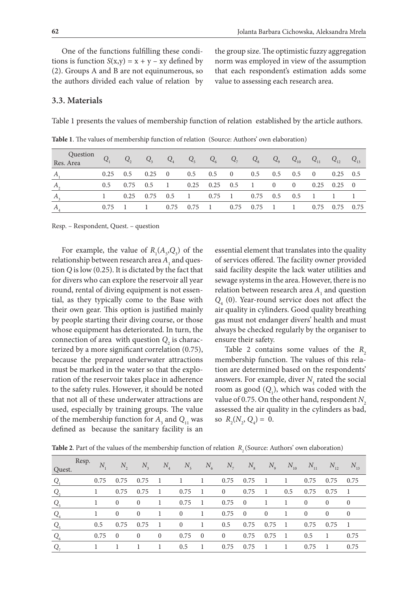One of the functions fulfilling these conditions is function  $S(x,y) = x + y - xy$  defined by (2). Groups A and B are not equinumerous, so the authors divided each value of relation by the group size. The optimistic fuzzy aggregation norm was employed in view of the assumption that each respondent's estimation adds some value to assessing each research area.

#### **3.3. Materials**

Table 1 presents the values of membership function of relation established by the article authors.

| Question<br>Res. Area |               | $Q_{2}$ | $Q_{3}$        | $Q_{4}$        | $Q_{5}$         | $Q_6$ | $Q_7$                                         | $Q_{8}$         | $Q_{\rm q}$ | $Q_{10}$      | $Q_{11}$       | $Q_{12}$ $Q_{13}$ |          |
|-----------------------|---------------|---------|----------------|----------------|-----------------|-------|-----------------------------------------------|-----------------|-------------|---------------|----------------|-------------------|----------|
| А                     | 0.25          | 0.5     | 0.25           | $\overline{0}$ | 0.5             | 0.5   | $\overline{0}$                                | 0.5             | 0.5         | 0.5           | $\overline{0}$ | $0.25 \quad 0.5$  |          |
|                       | $0.5^{\circ}$ |         | $0.75$ $0.5$ 1 |                |                 |       | $0.25$ $0.25$ $0.5$ 1 0                       |                 |             | $\sim 0$      |                | $0.25 \quad 0.25$ | $\sim 0$ |
| $A_{\lambda}$         |               | 0.25    |                |                | $0.75$ $0.5$ 1  |       | $0.75 \quad 1 \quad 0.75 \quad 0.5 \quad 0.5$ |                 |             |               | $\mathbf{1}$   |                   |          |
| $\boldsymbol{A}$      | 0.75          |         |                |                | $0.75$ $0.75$ 1 |       |                                               | $0.75$ $0.75$ 1 |             | $\frac{1}{2}$ |                | $0.75$ 0.75 0.75  |          |

**Table 1**. The values of membership function of relation (Source: Authors' own elaboration)

Resp. – Respondent, Quest. – question

For example, the value of  $R_1(A_5, Q_3)$  of the relationship between research area  $A_{_1}$  and question *Q* is low (0.25). It is dictated by the fact that for divers who can explore the reservoir all year round, rental of diving equipment is not essential, as they typically come to the Base with their own gear. This option is justified mainly by people starting their diving course, or those whose equipment has deteriorated. In turn, the connection of area with question  $Q_2$  is characterized by a more significant correlation (0.75), because the prepared underwater attractions must be marked in the water so that the exploration of the reservoir takes place in adherence to the safety rules. However, it should be noted that not all of these underwater attractions are used, especially by training groups. The value of the membership function for  $A_3$  and  $Q_{11}$  was defined as because the sanitary facility is an

essential element that translates into the quality of services offered. The facility owner provided said facility despite the lack water utilities and sewage systems in the area. However, there is no relation between research area  $A_1$  and question *Q*4 (0). Year-round service does not affect the air quality in cylinders. Good quality breathing gas must not endanger divers' health and must always be checked regularly by the organiser to ensure their safety.

Table 2 contains some values of the  $R$ <sub>2</sub> membership function. The values of this relation are determined based on the respondents' answers. For example, diver  $N_1$  rated the social room as good  $(Q_1)$ , which was coded with the value of 0.75. On the other hand, respondent  $N<sub>2</sub>$ assessed the air quality in the cylinders as bad, so  $R_2(N_2, Q_4) = 0.$ 

**Table 2**. Part of the values of the membership function of relation  $R$ <sub>2</sub> (Source: Authors' own elaboration)

| Quest.  | Resp. | $\overline{N}$ | $N_{\gamma}$   | $N_{\rm a}$    | $N_{\rm_4}$    | $N_{\rm s}$    | $N_{\rm g}$    | $N_{7}$        | $N_{\rm s}$    | $N_{\rm g}$    | $N_{10}$ | $N_{11}$       | $N_{12}$       | $N_{13}$       |
|---------|-------|----------------|----------------|----------------|----------------|----------------|----------------|----------------|----------------|----------------|----------|----------------|----------------|----------------|
| $Q_{1}$ |       | 0.75           | 0.75           | 0.75           | - 1            | -1             | 1              | 0.75           | 0.75           | $\blacksquare$ | 1        | 0.75           | 0.75           | 0.75           |
| $Q_{2}$ |       |                | 0.75           | 0.75           | - 1            | 0.75           | -1             | $\overline{0}$ | 0.75           | - 1            | 0.5      | 0.75           | 0.75           | - 1            |
| $Q_{3}$ |       |                | $\overline{0}$ | $\overline{0}$ | 1              | 0.75           | -1             | 0.75           | $\overline{0}$ | 1              | 1        | $\mathbf{0}$   | $\mathbf{0}$   | $\theta$       |
| $Q_{4}$ |       |                | $\left($       | $\overline{0}$ | -1             | $\overline{0}$ | -1             | 0.75           | $\overline{0}$ | $\overline{0}$ | -1       | $\overline{0}$ | $\overline{0}$ | $\overline{0}$ |
| $Q_{5}$ |       | 0.5            | 0.75           | 0.75           | - 1            | $\overline{0}$ | -1             | 0.5            | 0.75           | 0.75           | - 1      | 0.75           | 0.75           | - 1            |
| $Q_{6}$ |       | 0.75           | $\Omega$       | $\theta$       | $\overline{0}$ | 0.75           | $\overline{0}$ | $\theta$       | 0.75           | 0.75           | - 1      | 0.5            |                | 0.75           |
| $Q_{7}$ |       |                |                |                | 1.             | 0.5            |                | 0.75           | 0.75           | - 1            | 1        | 0.75           | - 1            | 0.75           |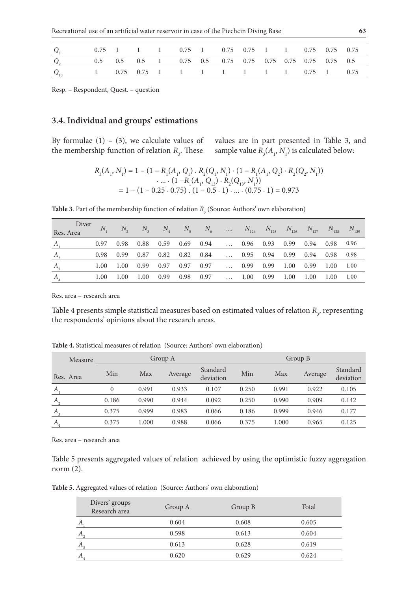| $Q_{\rm s}$ |  |  | 0.75 1 1 1 0.75 1 0.75 0.75 1 1 0.75 0.75 0.75 |  |  |  |  |
|-------------|--|--|------------------------------------------------|--|--|--|--|
| $Q_{9}$     |  |  |                                                |  |  |  |  |
| $Q_{10}$    |  |  | 1 0.75 0.75 1 1 1 1 1 1 1 1 0.75 1 0.75        |  |  |  |  |

Resp. – Respondent, Quest. – question

### **3.4. Individual and groups' estimations**

By formulae  $(1)$  –  $(3)$ , we calculate values of the membership function of relation  $R_{\text{3}}$ . These

values are in part presented in Table 3, and sample value  $R_3(A_1, N_1)$  is calculated below:

$$
R_3(A_1, N_1) = 1 - (1 - R_1(A_1, Q_1) \cdot R_2(Q_1, N_1) \cdot (1 - R_1(A_1, Q_2) \cdot R_2(Q_2, N_1))
$$
  
 
$$
\cdot \dots \cdot (1 - R_1(A_1, Q_{13}) \cdot R_2(Q_{13}, N_1))
$$
  
= 1 - (1 - 0.25 \cdot 0.75) \cdot (1 - 0.5 \cdot 1) \cdot ... \cdot (0.75 \cdot 1) = 0.973

**Table 3**. Part of the membership function of relation  $R$ <sub>3</sub> (Source: Authors' own elaboration)

| Diver<br>Res. Area          |      |        |  |                          | $N_1$ $N_2$ $N_3$ $N_4$ $N_5$ $N_6$ $N_{124}$ $N_{125}$ $N_{126}$ $N_{127}$ $N_{128}$ $N_{129}$ |                                        |  |  |  |
|-----------------------------|------|--------|--|--------------------------|-------------------------------------------------------------------------------------------------|----------------------------------------|--|--|--|
| $\boldsymbol{A}$            | 0.97 |        |  |                          | $0.98$ $0.88$ $0.59$ $0.69$ $0.94$ $0.96$ $0.93$ $0.99$ $0.94$ $0.98$ $0.96$                    |                                        |  |  |  |
| $A_{\scriptscriptstyle{2}}$ |      |        |  |                          | 0.98 0.99 0.87 0.82 0.82 0.84  0.95 0.94 0.99 0.94 0.98 0.98                                    |                                        |  |  |  |
| A,                          | 1.00 | - 1.00 |  |                          | $0.99$ $0.97$ $0.97$ $0.97$ $0.99$ $0.99$ $1.00$ $0.99$ $1.00$ $1.00$                           |                                        |  |  |  |
| $A_{\scriptscriptstyle 4}$  | 1.00 |        |  | 1.00 1.00 0.99 0.98 0.97 |                                                                                                 | $\ldots$ 1.00 0.99 1.00 1.00 1.00 1.00 |  |  |  |

Res. area – research area

Table 4 presents simple statistical measures based on estimated values of relation  $R_3$ , representing the respondents' opinions about the research areas.

| Measure   |                |       | Group A |                       | Group B |       |         |                       |  |  |
|-----------|----------------|-------|---------|-----------------------|---------|-------|---------|-----------------------|--|--|
| Res. Area | Min            | Max   | Average | Standard<br>deviation | Min     | Max   | Average | Standard<br>deviation |  |  |
| A         | $\overline{0}$ | 0.991 | 0.933   | 0.107                 | 0.250   | 0.991 | 0.922   | 0.105                 |  |  |
| $A_{2}$   | 0.186          | 0.990 | 0.944   | 0.092                 | 0.250   | 0.990 | 0.909   | 0.142                 |  |  |
| $A_{3}$   | 0.375          | 0.999 | 0.983   | 0.066                 | 0.186   | 0.999 | 0.946   | 0.177                 |  |  |
| А         | 0.375          | 1.000 | 0.988   | 0.066                 | 0.375   | 1.000 | 0.965   | 0.125                 |  |  |

**Table 4.** Statistical measures of relation (Source: Authors' own elaboration)

Res. area – research area

Table 5 presents aggregated values of relation achieved by using the optimistic fuzzy aggregation norm (2).

**Table 5**. Aggregated values of relation (Source: Authors' own elaboration)

| Divers' groups<br>Research area | Group A | Group B | Total |
|---------------------------------|---------|---------|-------|
|                                 | 0.604   | 0.608   | 0.605 |
|                                 | 0.598   | 0.613   | 0.604 |
|                                 | 0.613   | 0.628   | 0.619 |
|                                 | 0.620   | 0.629   | 0.624 |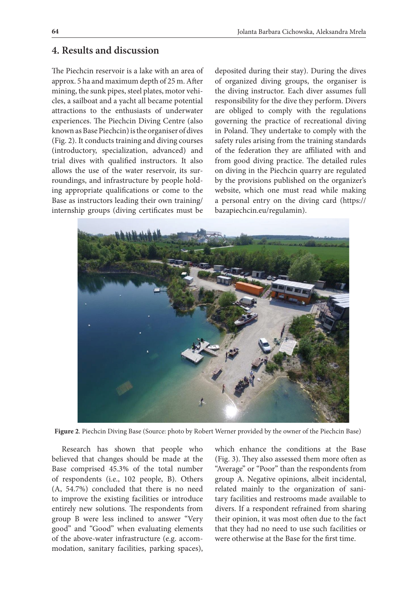# **4. Results and discussion**

The Piechcin reservoir is a lake with an area of approx. 5 ha and maximum depth of 25 m. After mining, the sunk pipes, steel plates, motor vehicles, a sailboat and a yacht all became potential attractions to the enthusiasts of underwater experiences. The Piechcin Diving Centre (also known as Base Piechcin) is the organiser of dives (Fig. 2). It conducts training and diving courses (introductory, specialization, advanced) and trial dives with qualified instructors. It also allows the use of the water reservoir, its surroundings, and infrastructure by people holding appropriate qualifications or come to the Base as instructors leading their own training/ internship groups (diving certificates must be

deposited during their stay). During the dives of organized diving groups, the organiser is the diving instructor. Each diver assumes full responsibility for the dive they perform. Divers are obliged to comply with the regulations governing the practice of recreational diving in Poland. They undertake to comply with the safety rules arising from the training standards of the federation they are affiliated with and from good diving practice. The detailed rules on diving in the Piechcin quarry are regulated by the provisions published on the organizer's website, which one must read while making a personal entry on the diving card (https:// bazapiechcin.eu/regulamin).



**Figure 2**. Piechcin Diving Base (Source: photo by Robert Werner provided by the owner of the Piechcin Base)

Research has shown that people who believed that changes should be made at the Base comprised 45.3% of the total number of respondents (i.e., 102 people, B). Others (A, 54.7%) concluded that there is no need to improve the existing facilities or introduce entirely new solutions. The respondents from group B were less inclined to answer "Very good" and "Good" when evaluating elements of the above-water infrastructure (e.g. accommodation, sanitary facilities, parking spaces),

which enhance the conditions at the Base (Fig. 3). They also assessed them more often as "Average" or "Poor" than the respondents from group A. Negative opinions, albeit incidental, related mainly to the organization of sanitary facilities and restrooms made available to divers. If a respondent refrained from sharing their opinion, it was most often due to the fact that they had no need to use such facilities or were otherwise at the Base for the first time.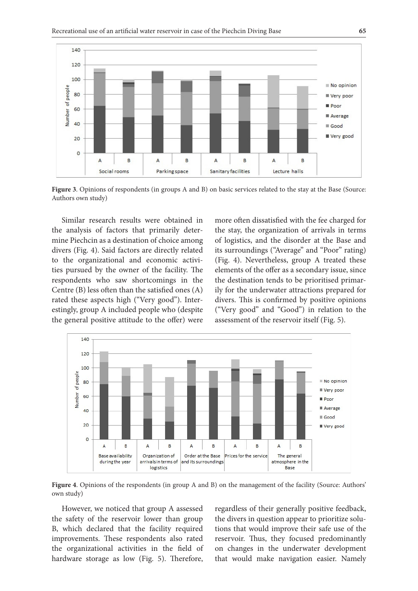

**Figure 3**. Opinions of respondents (in groups A and B) on basic services related to the stay at the Base (Source: Authors own study)

Similar research results were obtained in the analysis of factors that primarily determine Piechcin as a destination of choice among divers (Fig. 4). Said factors are directly related to the organizational and economic activities pursued by the owner of the facility. The respondents who saw shortcomings in the Centre (B) less often than the satisfied ones (A) rated these aspects high ("Very good"). Interestingly, group A included people who (despite the general positive attitude to the offer) were

more often dissatisfied with the fee charged for the stay, the organization of arrivals in terms of logistics, and the disorder at the Base and its surroundings ("Average" and "Poor" rating) (Fig. 4). Nevertheless, group A treated these elements of the offer as a secondary issue, since the destination tends to be prioritised primarily for the underwater attractions prepared for divers. This is confirmed by positive opinions ("Very good" and "Good") in relation to the assessment of the reservoir itself (Fig. 5).



**Figure 4**. Opinions of the respondents (in group A and B) on the management of the facility (Source: Authors' own study)

However, we noticed that group A assessed the safety of the reservoir lower than group B, which declared that the facility required improvements. These respondents also rated the organizational activities in the field of hardware storage as low (Fig. 5). Therefore, regardless of their generally positive feedback, the divers in question appear to prioritize solutions that would improve their safe use of the reservoir. Thus, they focused predominantly on changes in the underwater development that would make navigation easier. Namely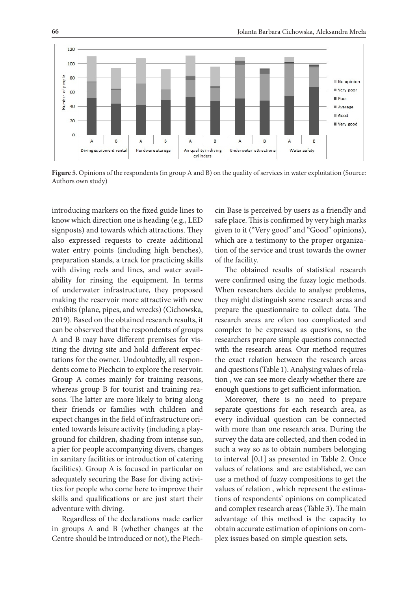

**Figure 5**. Opinions of the respondents (in group A and B) on the quality of services in water exploitation (Source: Authors own study)

introducing markers on the fixed guide lines to know which direction one is heading (e.g., LED signposts) and towards which attractions. They also expressed requests to create additional water entry points (including high benches), preparation stands, a track for practicing skills with diving reels and lines, and water availability for rinsing the equipment. In terms of underwater infrastructure, they proposed making the reservoir more attractive with new exhibits (plane, pipes, and wrecks) (Cichowska, 2019). Based on the obtained research results, it can be observed that the respondents of groups A and B may have different premises for visiting the diving site and hold different expectations for the owner. Undoubtedly, all respondents come to Piechcin to explore the reservoir. Group A comes mainly for training reasons, whereas group B for tourist and training reasons. The latter are more likely to bring along their friends or families with children and expect changes in the field of infrastructure oriented towards leisure activity (including a playground for children, shading from intense sun, a pier for people accompanying divers, changes in sanitary facilities or introduction of catering facilities). Group A is focused in particular on adequately securing the Base for diving activities for people who come here to improve their skills and qualifications or are just start their adventure with diving.

Regardless of the declarations made earlier in groups A and B (whether changes at the Centre should be introduced or not), the Piech-

cin Base is perceived by users as a friendly and safe place. This is confirmed by very high marks given to it ("Very good" and "Good" opinions), which are a testimony to the proper organization of the service and trust towards the owner of the facility.

The obtained results of statistical research were confirmed using the fuzzy logic methods. When researchers decide to analyse problems, they might distinguish some research areas and prepare the questionnaire to collect data. The research areas are often too complicated and complex to be expressed as questions, so the researchers prepare simple questions connected with the research areas. Our method requires the exact relation between the research areas and questions (Table 1). Analysing values of relation , we can see more clearly whether there are enough questions to get sufficient information.

Moreover, there is no need to prepare separate questions for each research area, as every individual question can be connected with more than one research area. During the survey the data are collected, and then coded in such a way so as to obtain numbers belonging to interval [0,1] as presented in Table 2. Once values of relations and are established, we can use a method of fuzzy compositions to get the values of relation , which represent the estimations of respondents' opinions on complicated and complex research areas (Table 3). The main advantage of this method is the capacity to obtain accurate estimation of opinions on complex issues based on simple question sets.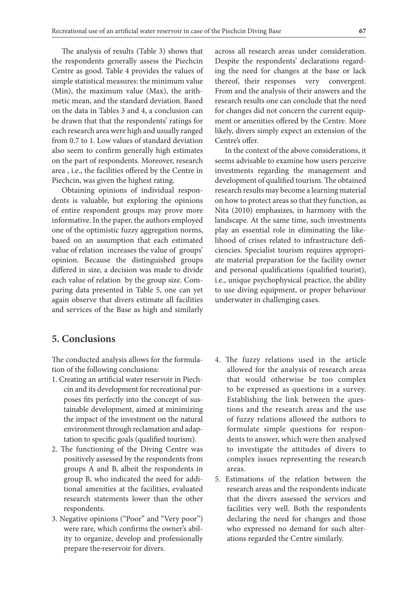The analysis of results (Table 3) shows that the respondents generally assess the Piechcin Centre as good. Table 4 provides the values of simple statistical measures: the minimum value (Min), the maximum value (Max), the arithmetic mean, and the standard deviation. Based on the data in Tables 3 and 4, a conclusion can be drawn that that the respondents' ratings for each research area were high and usually ranged from 0.7 to 1. Low values of standard deviation also seem to confirm generally high estimates on the part of respondents. Moreover, research area , i.e., the facilities offered by the Centre in Piechcin, was given the highest rating.

Obtaining opinions of individual respondents is valuable, but exploring the opinions of entire respondent groups may prove more informative. In the paper, the authors employed one of the optimistic fuzzy aggregation norms, based on an assumption that each estimated value of relation increases the value of groups' opinion. Because the distinguished groups differed in size, a decision was made to divide each value of relation by the group size. Comparing data presented in Table 5, one can yet again observe that divers estimate all facilities and services of the Base as high and similarly across all research areas under consideration. Despite the respondents' declarations regarding the need for changes at the base or lack thereof, their responses very convergent. From and the analysis of their answers and the research results one can conclude that the need for changes did not concern the current equipment or amenities offered by the Centre. More likely, divers simply expect an extension of the Centre's offer.

In the context of the above considerations, it seems advisable to examine how users perceive investments regarding the management and development of qualified tourism. The obtained research results may become a learning material on how to protect areas so that they function, as Nita (2010) emphasizes, in harmony with the landscape. At the same time, such investments play an essential role in eliminating the likelihood of crises related to infrastructure deficiencies. Specialist tourism requires appropriate material preparation for the facility owner and personal qualifications (qualified tourist), i.e., unique psychophysical practice, the ability to use diving equipment, or proper behaviour underwater in challenging cases.

# **5. Conclusions**

The conducted analysis allows for the formulation of the following conclusions:

- 1. Creating an artificial water reservoir in Piechcin and its development for recreational purposes fits perfectly into the concept of sustainable development, aimed at minimizing the impact of the investment on the natural environment through reclamation and adaptation to specific goals (qualified tourism).
- 2. The functioning of the Diving Centre was positively assessed by the respondents from groups A and B, albeit the respondents in group B, who indicated the need for additional amenities at the facilities, evaluated research statements lower than the other respondents.
- 3. Negative opinions ("Poor" and "Very poor") were rare, which confirms the owner's ability to organize, develop and professionally prepare the reservoir for divers.
- 4. The fuzzy relations used in the article allowed for the analysis of research areas that would otherwise be too complex to be expressed as questions in a survey. Establishing the link between the questions and the research areas and the use of fuzzy relations allowed the authors to formulate simple questions for respondents to answer, which were then analysed to investigate the attitudes of divers to complex issues representing the research areas.
- 5. Estimations of the relation between the research areas and the respondents indicate that the divers assessed the services and facilities very well. Both the respondents declaring the need for changes and those who expressed no demand for such alterations regarded the Centre similarly.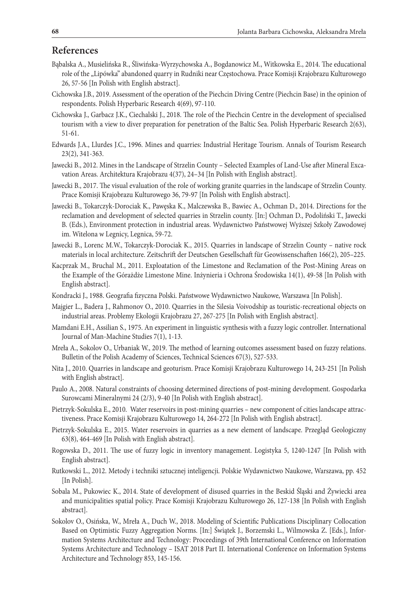## **References**

- Bąbalska A., Musielińska R., Śliwińska-Wyrzychowska A., Bogdanowicz M., Witkowska E., 2014. The educational role of the "Lipówka" abandoned quarry in Rudniki near Częstochowa. Prace Komisji Krajobrazu Kulturowego 26, 57-56 [In Polish with English abstract].
- Cichowska J.B., 2019. Assessment of the operation of the Piechcin Diving Centre (Piechcin Base) in the opinion of respondents. Polish Hyperbaric Research 4(69), 97-110.
- Cichowska J., Garbacz J.K., Ciechalski J., 2018. The role of the Piechcin Centre in the development of specialised tourism with a view to diver preparation for penetration of the Baltic Sea. Polish Hyperbaric Research 2(63), 51-61.
- Edwards J.A., Llurdes J.C., 1996. Mines and quarries: Industrial Heritage Tourism. Annals of Tourism Research 23(2), 341-363.
- Jawecki B., 2012. Mines in the Landscape of Strzelin County Selected Examples of Land-Use after Mineral Excavation Areas. Architektura Krajobrazu 4(37), 24–34 [In Polish with English abstract].
- Jawecki B., 2017. The visual evaluation of the role of working granite quarries in the landscape of Strzelin County. Prace Komisji Krajobrazu Kulturowego 36, 79-97 [In Polish with English abstract].
- Jawecki B., Tokarczyk-Dorociak K., Pawęska K., Malczewska B., Bawiec A., Ochman D., 2014. Directions for the reclamation and development of selected quarries in Strzelin county. [In:] Ochman D., Podoliński T., Jawecki B. (Eds.), Environment protection in industrial areas. Wydawnictwo Państwowej Wyższej Szkoły Zawodowej im. Witelona w Legnicy, Legnica, 59-72.
- Jawecki B., Lorenc M.W., Tokarczyk-Dorociak K., 2015. Quarries in landscape of Strzelin County native rock materials in local architecture. Zeitschrift der Deutschen Gesellschaft für Geowissenschaften 166(2), 205–225.
- Kacprzak M., Bruchal M., 2011. Exploatation of the Limestone and Reclamation of the Post-Mining Areas on the Example of the Górażdże Limestone Mine. Inżynieria i Ochrona Środowiska 14(1), 49-58 [In Polish with English abstract].
- Kondracki J., 1988. Geografia fizyczna Polski. Państwowe Wydawnictwo Naukowe, Warszawa [In Polish].
- Majgier L., Badera J., Rahmonov O., 2010. Quarries in the Silesia Voivodship as touristic-recreational objects on industrial areas. Problemy Ekologii Krajobrazu 27, 267-275 [In Polish with English abstract].
- Mamdani E.H., Assilian S., 1975. An experiment in linguistic synthesis with a fuzzy logic controller. International Journal of Man-Machine Studies 7(1), 1-13.
- Mreła A., Sokolov O., Urbaniak W., 2019. The method of learning outcomes assessment based on fuzzy relations. Bulletin of the Polish Academy of Sciences, Technical Sciences 67(3), 527-533.
- Nita J., 2010. Quarries in landscape and geoturism. Prace Komisji Krajobrazu Kulturowego 14, 243-251 [In Polish with English abstract].
- Paulo A., 2008. Natural constraints of choosing determined directions of post-mining development. Gospodarka Surowcami Mineralnymi 24 (2/3), 9-40 [In Polish with English abstract].
- Pietrzyk-Sokulska E., 2010. Water reservoirs in post-mining quarries new component of cities landscape attractiveness. Prace Komisji Krajobrazu Kulturowego 14, 264-272 [In Polish with English abstract].
- Pietrzyk-Sokulska E., 2015. Water reservoirs in quarries as a new element of landscape. Przegląd Geologiczny 63(8), 464-469 [In Polish with English abstract].
- Rogowska D., 2011. The use of fuzzy logic in inventory management. Logistyka 5, 1240-1247 [In Polish with English abstract].
- Rutkowski L., 2012. Metody i techniki sztucznej inteligencji. Polskie Wydawnictwo Naukowe, Warszawa, pp. 452 [In Polish].
- Sobala M., Pukowiec K., 2014. State of development of disused quarries in the Beskid Śląski and Żywiecki area and municipalities spatial policy. Prace Komisji Krajobrazu Kulturowego 26, 127-138 [In Polish with English abstract].
- Sokolov O., Osińska, W., Mreła A., Duch W., 2018. Modeling of Scientific Publications Disciplinary Collocation Based on Optimistic Fuzzy Aggregation Norms. [In:] Świątek J., Borzemski L., Wilmowska Z. [Eds.], Information Systems Architecture and Technology: Proceedings of 39th International Conference on Information Systems Architecture and Technology – ISAT 2018 Part II. International Conference on Information Systems Architecture and Technology 853, 145-156.